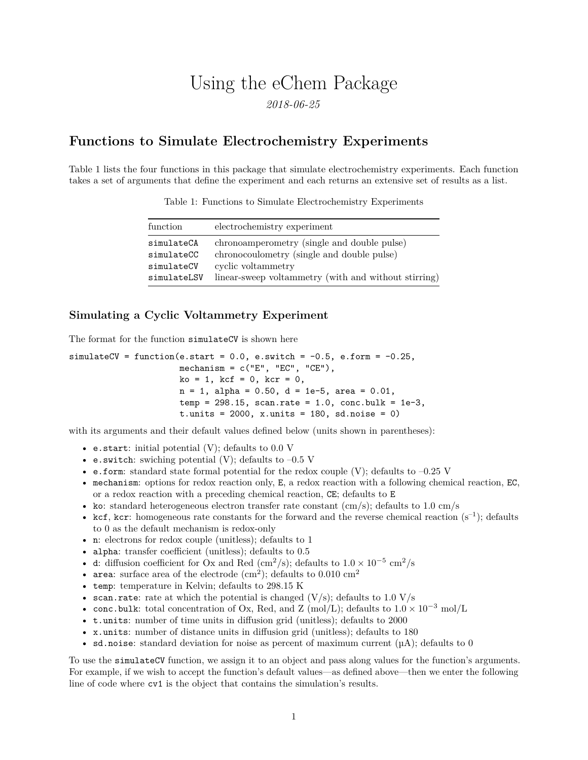# Using the eChem Package

*2018-06-25*

# **Functions to Simulate Electrochemistry Experiments**

Table 1 lists the four functions in this package that simulate electrochemistry experiments. Each function takes a set of arguments that define the experiment and each returns an extensive set of results as a list.

| function    | electrochemistry experiment                          |
|-------------|------------------------------------------------------|
| simulateCA  | chronoamperometry (single and double pulse)          |
| simulateCC  | chronocoulometry (single and double pulse)           |
| simulateCV  | cyclic voltammetry                                   |
| simulateLSV | linear-sweep voltammetry (with and without stirring) |

Table 1: Functions to Simulate Electrochemistry Experiments

## **Simulating a Cyclic Voltammetry Experiment**

The format for the function simulateCV is shown here

```
simulateCV = function(e.start = 0.0, e.switch = -0.5, e.form = -0.25,
                     mechanism = c("E", "EC", "CE"),
                     ko = 1, kcf = 0, kcr = 0,
                      n = 1, alpha = 0.50, d = 1e-5, area = 0.01,
                      temp = 298.15, scan.rate = 1.0, conc.bulk = 1e-3,
                      t.units = 2000, x.units = 180, sd.noise = 0)
```
with its arguments and their default values defined below (units shown in parentheses):

- e.start: initial potential  $(V)$ ; defaults to 0.0 V
- e.switch: swiching potential (V); defaults to  $-0.5$  V
- e.form: standard state formal potential for the redox couple (V); defaults to  $-0.25$  V
- mechanism: options for redox reaction only, E, a redox reaction with a following chemical reaction, EC, or a redox reaction with a preceding chemical reaction, CE; defaults to E
- ko: standard heterogeneous electron transfer rate constant  $(cm/s);$  defaults to 1.0 cm/s
- kcf, kcr: homogeneous rate constants for the forward and the reverse chemical reaction  $(s^{-1})$ ; defaults to 0 as the default mechanism is redox-only
- n: electrons for redox couple (unitless); defaults to 1
- alpha: transfer coefficient (unitless); defaults to  $0.5$
- d: diffusion coefficient for Ox and Red (cm<sup>2</sup>/s); defaults to  $1.0 \times 10^{-5}$  cm<sup>2</sup>/s
- area: surface area of the electrode  $(cm<sup>2</sup>)$ ; defaults to 0.010  $cm<sup>2</sup>$
- temp: temperature in Kelvin; defaults to 298.15 K
- scan.rate: rate at which the potential is changed  $(V/s)$ ; defaults to 1.0  $V/s$
- conc.bulk: total concentration of Ox, Red, and Z (mol/L); defaults to  $1.0 \times 10^{-3}$  mol/L
- t.units: number of time units in diffusion grid (unitless); defaults to 2000
- x.units: number of distance units in diffusion grid (unitless); defaults to 180
- sd.noise: standard deviation for noise as percent of maximum current  $(\mu A)$ ; defaults to 0

To use the simulateCV function, we assign it to an object and pass along values for the function's arguments. For example, if we wish to accept the function's default values—as defined above—then we enter the following line of code where cv1 is the object that contains the simulation's results.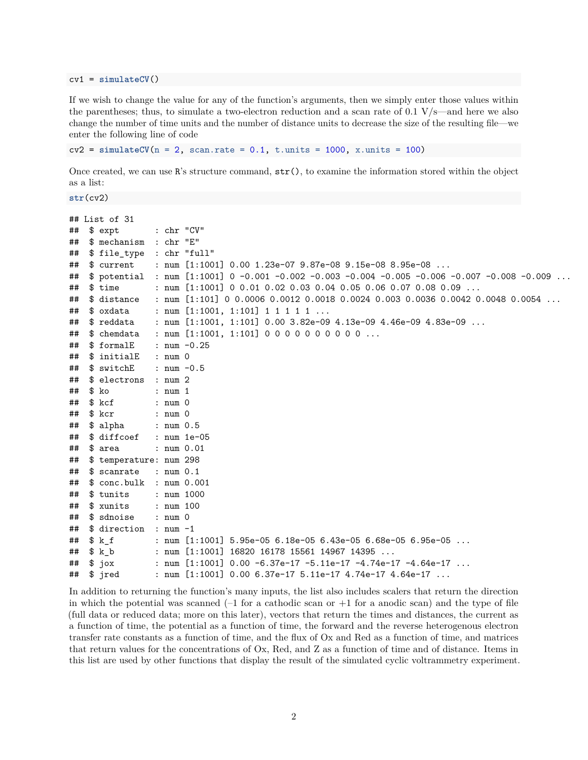cv1 = **simulateCV**()

If we wish to change the value for any of the function's arguments, then we simply enter those values within the parentheses; thus, to simulate a two-electron reduction and a scan rate of 0.1 V/s—and here we also change the number of time units and the number of distance units to decrease the size of the resulting file—we enter the following line of code

```
cv2 = simulateCV(n = 2, scan.rate = 0.1, t.units = 1000, x.units = 100)
```
Once created, we can use  $\mathbb{R}$ 's structure command,  $str()$ , to examine the information stored within the object as a list:

```
str(cv2)
```

```
## List of 31
## $ expt : chr "CV"
## $ mechanism : chr "E"
## $ file_type : chr "full"
## $ current : num [1:1001] 0.00 1.23e-07 9.87e-08 9.15e-08 8.95e-08 ...
## $ potential : num [1:1001] 0 -0.001 -0.002 -0.003 -0.004 -0.005 -0.006 -0.007 -0.008 -0.009 ...
## $ time : num [1:1001] 0 0.01 0.02 0.03 0.04 0.05 0.06 0.07 0.08 0.09 ...
## $ distance : num [1:101] 0 0.0006 0.0012 0.0018 0.0024 0.003 0.0036 0.0042 0.0048 0.0054 ...
## $ oxdata : num [1:1001, 1:101] 1 1 1 1 1 ...
## $ reddata : num [1:1001, 1:101] 0.00 3.82e-09 4.13e-09 4.46e-09 4.83e-09 ...
## $ chemdata : num [1:1001, 1:101] 0 0 0 0 0 0 0 0 0 0 ...
\texttt{***} $ formalE : num -0.25
## $ initialE : num 0
## $ switchE : num -0.5
## $ electrons : num 2
## $ ko : num 1
## $ kcf : num 0
## $ kcr : num 0
## $ alpha : num 0.5
## $ diffcoef : num 1e-05
## $ area : num 0.01
## $ temperature: num 298
## $ scanrate : num 0.1
## $ conc.bulk : num 0.001
## $ tunits : num 1000
## $ xunits : num 100
## $ sdnoise : num 0
## $ direction : num -1
## $ k_f : num [1:1001] 5.95e-05 6.18e-05 6.43e-05 6.68e-05 6.95e-05 ...
## $ k_b : num [1:1001] 16820 16178 15561 14967 14395 ...
## $ jox : num [1:1001] 0.00 -6.37e-17 -5.11e-17 -4.74e-17 -4.64e-17 ...
## $ jred : num [1:1001] 0.00 6.37e-17 5.11e-17 4.74e-17 4.64e-17 ...
```
In addition to returning the function's many inputs, the list also includes scalers that return the direction in which the potential was scanned  $(-1)$  for a cathodic scan or  $+1$  for a anodic scan) and the type of file (full data or reduced data; more on this later), vectors that return the times and distances, the current as a function of time, the potential as a function of time, the forward and the reverse heterogenous electron transfer rate constants as a function of time, and the flux of Ox and Red as a function of time, and matrices that return values for the concentrations of Ox, Red, and Z as a function of time and of distance. Items in this list are used by other functions that display the result of the simulated cyclic voltrammetry experiment.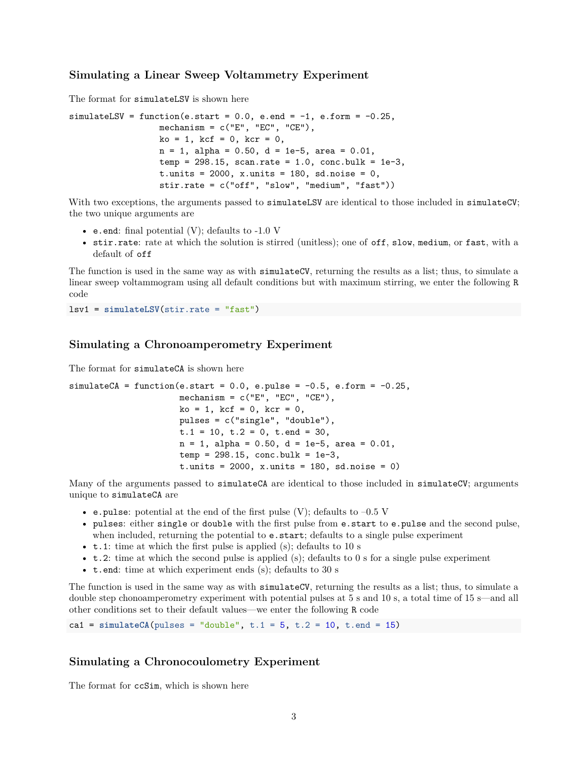# **Simulating a Linear Sweep Voltammetry Experiment**

The format for simulateLSV is shown here

```
simulatedLSV = function(e.start = 0.0, e.end = -1, e.format = -0.25,{\tt mechanism = c("E", "EC", "CE");}ko = 1, kcf = 0, kcr = 0,
                  n = 1, alpha = 0.50, d = 1e-5, area = 0.01,
                  temp = 298.15, scan.rate = 1.0, conc.bulk = 1e-3,
                  t.units = 2000, x.units = 180, sd.noise = 0,
                  stir.rate = c("off", "slow", "medium", "fast"))
```
With two exceptions, the arguments passed to simulateLSV are identical to those included in simulateCV; the two unique arguments are

- e.end: final potential  $(V)$ ; defaults to -1.0 V
- stir.rate: rate at which the solution is stirred (unitless); one of off, slow, medium, or fast, with a default of off

The function is used in the same way as with simulateCV, returning the results as a list; thus, to simulate a linear sweep voltammogram using all default conditions but with maximum stirring, we enter the following R code

lsv1 = **simulateLSV**(stir.rate = "fast")

## **Simulating a Chronoamperometry Experiment**

The format for simulateCA is shown here

```
simulateCA = function(e.start = 0.0, e.push = -0.5, e.format = -0.25,mechanism = c("E", "EC", "CE"),
                      ko = 1, kcf = 0, kcr = 0,
                      pulses = c("single", "double"),
                      t.1 = 10, t.2 = 0, t.end = 30,
                      n = 1, alpha = 0.50, d = 1e-5, area = 0.01,
                      temp = 298.15, conc.bulk = 1e-3,
                      t. units = 2000, x. units = 180, sd. noise = 0)
```
Many of the arguments passed to **simulateCA** are identical to those included in **simulateCV**; arguments unique to simulateCA are

- e.pulse: potential at the end of the first pulse  $(V)$ ; defaults to  $-0.5$  V
- pulses: either single or double with the first pulse from e.start to e.pulse and the second pulse, when included, returning the potential to  $e$ . start; defaults to a single pulse experiment
- **t.1**: time at which the first pulse is applied (s); defaults to 10 s
- t.2: time at which the second pulse is applied (s); defaults to 0 s for a single pulse experiment
- t.end: time at which experiment ends (s); defaults to 30 s

The function is used in the same way as with **simulateCV**, returning the results as a list; thus, to simulate a double step chonoamperometry experiment with potential pulses at 5 s and 10 s, a total time of 15 s—and all other conditions set to their default values—we enter the following R code

ca1 =  $simulateCA(pulses = "double", t.1 = 5, t.2 = 10, t.end = 15)$ 

## **Simulating a Chronocoulometry Experiment**

The format for  $ccSim$ , which is shown here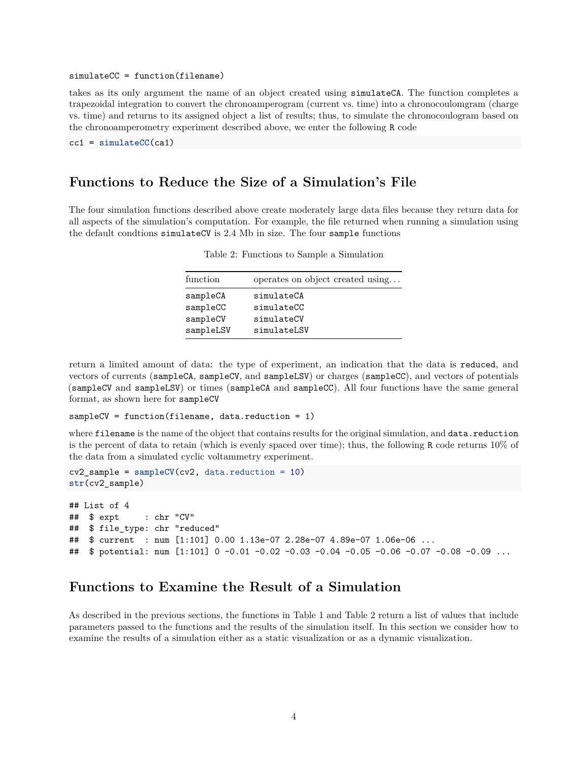#### simulateCC = function(filename)

takes as its only argument the name of an object created using simulateCA. The function completes a trapezoidal integration to convert the chronoamperogram (current vs. time) into a chronocoulomgram (charge vs. time) and returns to its assigned object a list of results; thus, to simulate the chronocoulogram based on the chronoamperometry experiment described above, we enter the following R code

cc1 = **simulateCC**(ca1)

# **Functions to Reduce the Size of a Simulation's File**

The four simulation functions described above create moderately large data files because they return data for all aspects of the simulation's computation. For example, the file returned when running a simulation using the default condtions simulateCV is 2.4 Mb in size. The four sample functions

| function  | operates on object created using |
|-----------|----------------------------------|
|           |                                  |
| sampleCA  | simulateCA                       |
| sampleCC  | simulateCC                       |
| sampleCV  | simulateCV                       |
| sampleLSV | simulateLSV                      |

Table 2: Functions to Sample a Simulation

return a limited amount of data: the type of experiment, an indication that the data is reduced, and vectors of currents (sampleCA, sampleCV, and sampleLSV) or charges (sampleCC), and vectors of potentials (sampleCV and sampleLSV) or times (sampleCA and sampleCC). All four functions have the same general format, as shown here for sampleCV

```
sampleCV = function(filename, data.reduction = 1)
```
where filename is the name of the object that contains results for the original simulation, and data.reduction is the percent of data to retain (which is evenly spaced over time); thus, the following R code returns 10% of the data from a simulated cyclic voltammetry experiment.

```
cv2_sample = sampleCV(cv2, data.reduction = 10)
str(cv2_sample)
```
## List of 4 ## \$ expt : chr "CV" ## \$ file\_type: chr "reduced" ## \$ current : num [1:101] 0.00 1.13e-07 2.28e-07 4.89e-07 1.06e-06 ... ## \$ potential: num [1:101] 0 -0.01 -0.02 -0.03 -0.04 -0.05 -0.06 -0.07 -0.08 -0.09 ...

# **Functions to Examine the Result of a Simulation**

As described in the previous sections, the functions in Table 1 and Table 2 return a list of values that include parameters passed to the functions and the results of the simulation itself. In this section we consider how to examine the results of a simulation either as a static visualization or as a dynamic visualization.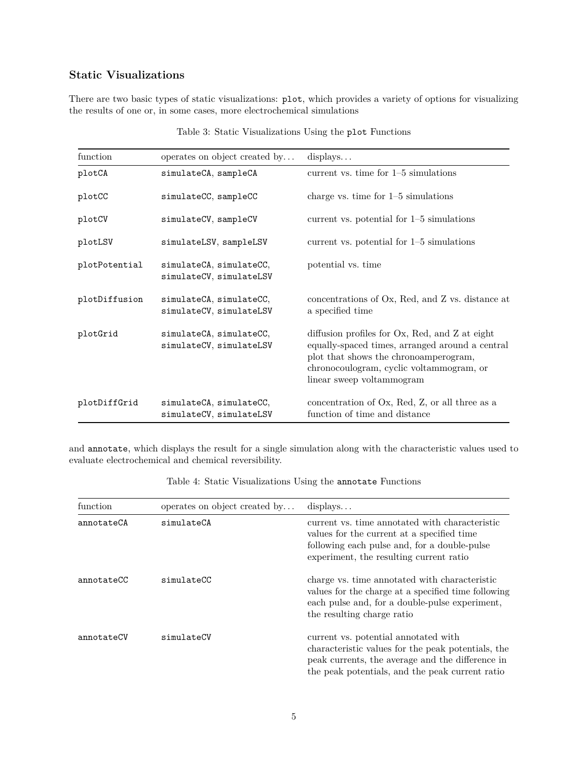# **Static Visualizations**

There are two basic types of static visualizations: plot, which provides a variety of options for visualizing the results of one or, in some cases, more electrochemical simulations

| function      | operates on object created by                      | displays                                                                                                                                                                                                            |
|---------------|----------------------------------------------------|---------------------------------------------------------------------------------------------------------------------------------------------------------------------------------------------------------------------|
| plotCA        | simulateCA, sampleCA                               | current vs. time for $1-5$ simulations                                                                                                                                                                              |
| plotCC        | simulateCC, sampleCC                               | charge vs. time for $1-5$ simulations                                                                                                                                                                               |
| plotCV        | simulateCV, sampleCV                               | current vs. potential for $1-5$ simulations                                                                                                                                                                         |
| plotLSV       | simulateLSV, sampleLSV                             | current vs. potential for $1-5$ simulations                                                                                                                                                                         |
| plotPotential | simulateCA, simulateCC,<br>simulateCV, simulateLSV | potential vs. time                                                                                                                                                                                                  |
| plotDiffusion | simulateCA, simulateCC,<br>simulateCV, simulateLSV | concentrations of Ox, Red, and Z vs. distance at<br>a specified time                                                                                                                                                |
| plotGrid      | simulateCA, simulateCC,<br>simulateCV, simulateLSV | diffusion profiles for Ox, Red, and Z at eight<br>equally-spaced times, arranged around a central<br>plot that shows the chronoamperogram,<br>chronocoulogram, cyclic voltammogram, or<br>linear sweep voltammogram |
| plotDiffGrid  | simulateCA, simulateCC,<br>simulateCV, simulateLSV | concentration of Ox, Red, Z, or all three as a<br>function of time and distance                                                                                                                                     |

Table 3: Static Visualizations Using the plot Functions

and annotate, which displays the result for a single simulation along with the characteristic values used to evaluate electrochemical and chemical reversibility.

| function   | operates on object created by | displays                                                                                                                                                                                          |
|------------|-------------------------------|---------------------------------------------------------------------------------------------------------------------------------------------------------------------------------------------------|
| annotateCA | simulateCA                    | current vs. time annotated with characteristic<br>values for the current at a specified time<br>following each pulse and, for a double-pulse<br>experiment, the resulting current ratio           |
| annotateCC | simulateCC                    | charge vs. time annotated with characteristic<br>values for the charge at a specified time following<br>each pulse and, for a double-pulse experiment,<br>the resulting charge ratio              |
| annotateCV | simulateCV                    | current vs. potential annotated with<br>characteristic values for the peak potentials, the<br>peak currents, the average and the difference in<br>the peak potentials, and the peak current ratio |

Table 4: Static Visualizations Using the annotate Functions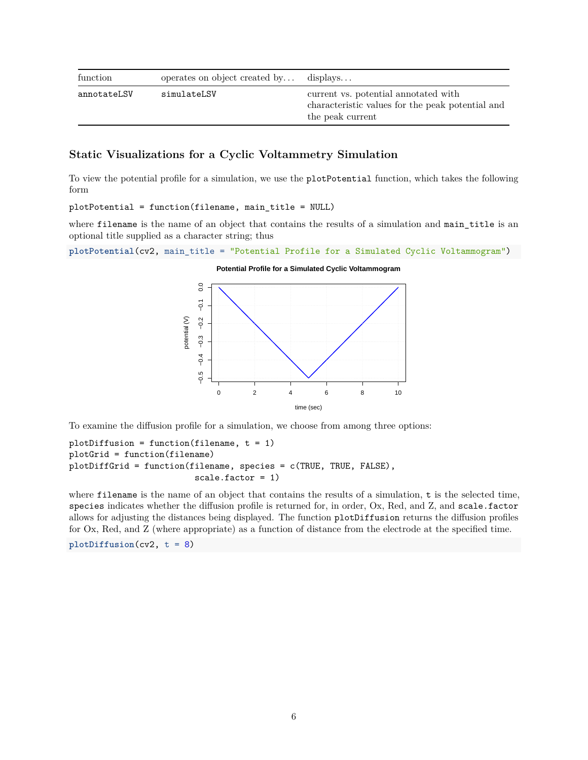| function    | operates on object created by | displays                                                                                                     |
|-------------|-------------------------------|--------------------------------------------------------------------------------------------------------------|
| annotateLSV | simulateLSV                   | current vs. potential annotated with<br>characteristic values for the peak potential and<br>the peak current |

# **Static Visualizations for a Cyclic Voltammetry Simulation**

To view the potential profile for a simulation, we use the plotPotential function, which takes the following form

plotPotential = function(filename, main\_title = NULL)

where filename is the name of an object that contains the results of a simulation and main\_title is an optional title supplied as a character string; thus

```
plotPotential(cv2, main_title = "Potential Profile for a Simulated Cyclic Voltammogram")
```
#### **Potential Profile for a Simulated Cyclic Voltammogram**



To examine the diffusion profile for a simulation, we choose from among three options:

```
plotDiffusion = function(filename, t = 1)
plotGrid = function(filename)
plotDiffGrid = function(filename, species = c(TRUE, TRUE, FALSE),
                         scale.factor = 1)
```
where filename is the name of an object that contains the results of a simulation, t is the selected time, species indicates whether the diffusion profile is returned for, in order, Ox, Red, and Z, and scale.factor allows for adjusting the distances being displayed. The function plotDiffusion returns the diffusion profiles for Ox, Red, and Z (where appropriate) as a function of distance from the electrode at the specified time.

**plotDiffusion**(cv2, t = 8)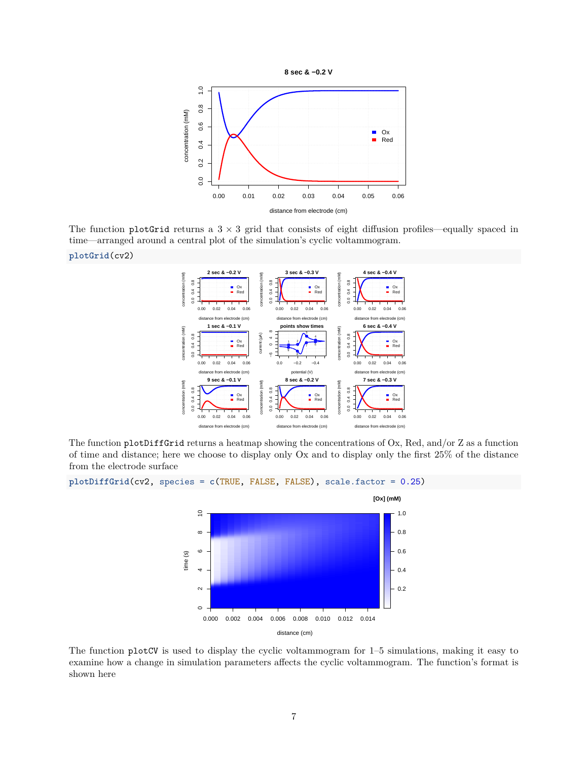

The function plotGrid returns a  $3 \times 3$  grid that consists of eight diffusion profiles—equally spaced in time—arranged around a central plot of the simulation's cyclic voltammogram.

**plotGrid**(cv2)



The function plotDiffGrid returns a heatmap showing the concentrations of Ox, Red, and/or Z as a function of time and distance; here we choose to display only Ox and to display only the first 25% of the distance from the electrode surface





The function plotCV is used to display the cyclic voltammogram for 1–5 simulations, making it easy to examine how a change in simulation parameters affects the cyclic voltammogram. The function's format is shown here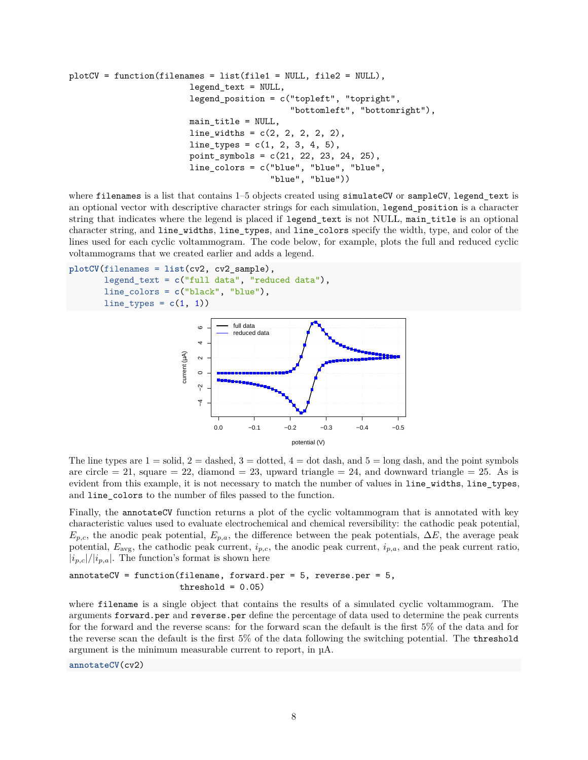```
plotCV = function(filenames = list(file1 = NULL, file2 = NULL),legend_text = NULL,
                        legend_position = c("topleft", "topright",
                                             "bottomleft", "bottomright"),
                        main_title = NULL,
                        line widths = c(2, 2, 2, 2, 2),
                        line_typess = c(1, 2, 3, 4, 5),
                        point_symbols = c(21, 22, 23, 24, 25),
                        line_colors = c("blue", "blue", "blue",
                                         "blue", "blue"))
```
where filenames is a list that contains 1–5 objects created using simulateCV or sampleCV, legend\_text is an optional vector with descriptive character strings for each simulation, legend\_position is a character string that indicates where the legend is placed if legend\_text is not NULL, main\_title is an optional character string, and line\_widths, line\_types, and line\_colors specify the width, type, and color of the lines used for each cyclic voltammogram. The code below, for example, plots the full and reduced cyclic voltammograms that we created earlier and adds a legend.

```
plotCV(filenames = list(cv2, cv2_sample),
       legend_text = c("full data", "reduced data"),
       line_colors = c("black", "blue"),
       line_types = c(1, 1)
```


The line types are  $1 =$  solid,  $2 =$  dashed,  $3 =$  dotted,  $4 =$  dot dash, and  $5 =$  long dash, and the point symbols are circle  $= 21$ , square  $= 22$ , diamond  $= 23$ , upward triangle  $= 24$ , and downward triangle  $= 25$ . As is evident from this example, it is not necessary to match the number of values in line widths, line types, and line\_colors to the number of files passed to the function.

Finally, the annotateCV function returns a plot of the cyclic voltammogram that is annotated with key characteristic values used to evaluate electrochemical and chemical reversibility: the cathodic peak potential,  $E_{p,c}$ , the anodic peak potential,  $E_{p,a}$ , the difference between the peak potentials,  $\Delta E$ , the average peak potential, *E*avg, the cathodic peak current, *ip,c*, the anodic peak current, *ip,a*, and the peak current ratio,  $|i_{p,c}|/|i_{p,a}|$ . The function's format is shown here

```
annotateCV = function(filename, forward.per = 5, reverse.per = 5,
                      threshold = 0.05)
```
where filename is a single object that contains the results of a simulated cyclic voltammogram. The arguments forward.per and reverse.per define the percentage of data used to determine the peak currents for the forward and the reverse scans: for the forward scan the default is the first 5% of the data and for the reverse scan the default is the first 5% of the data following the switching potential. The threshold argument is the minimum measurable current to report, in µA.

**annotateCV**(cv2)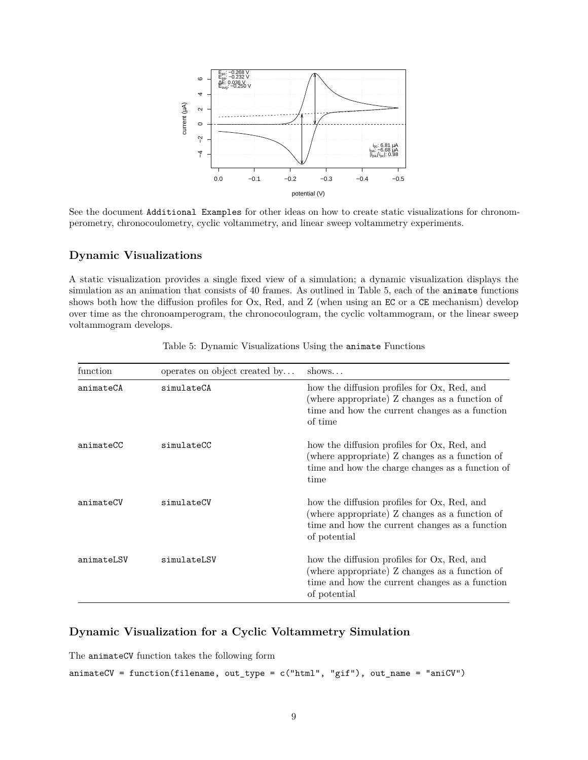

See the document Additional Examples for other ideas on how to create static visualizations for chronomperometry, chronocoulometry, cyclic voltammetry, and linear sweep voltammetry experiments.

# **Dynamic Visualizations**

A static visualization provides a single fixed view of a simulation; a dynamic visualization displays the simulation as an animation that consists of 40 frames. As outlined in Table 5, each of the animate functions shows both how the diffusion profiles for Ox, Red, and Z (when using an EC or a CE mechanism) develop over time as the chronoamperogram, the chronocoulogram, the cyclic voltammogram, or the linear sweep voltammogram develops.

| function   | operates on object created by | shows                                                                                                                                                           |
|------------|-------------------------------|-----------------------------------------------------------------------------------------------------------------------------------------------------------------|
| animateCA  | simulateCA                    | how the diffusion profiles for Ox, Red, and<br>(where appropriate) Z changes as a function of<br>time and how the current changes as a function<br>of time      |
| animateCC  | simulateCC                    | how the diffusion profiles for Ox, Red, and<br>(where appropriate) Z changes as a function of<br>time and how the charge changes as a function of<br>time       |
| animateCV  | simulateCV                    | how the diffusion profiles for Ox, Red, and<br>(where appropriate) Z changes as a function of<br>time and how the current changes as a function<br>of potential |
| animateLSV | simulateLSV                   | how the diffusion profiles for Ox, Red, and<br>(where appropriate) Z changes as a function of<br>time and how the current changes as a function<br>of potential |

Table 5: Dynamic Visualizations Using the animate Functions

# **Dynamic Visualization for a Cyclic Voltammetry Simulation**

The animateCV function takes the following form

```
\text{animateCV} = \text{function}(\text{filename}, \text{ out\_type} = \text{c}(\text{"html", "gif"), \text{ out\_name} = \text{"aniCV"})
```